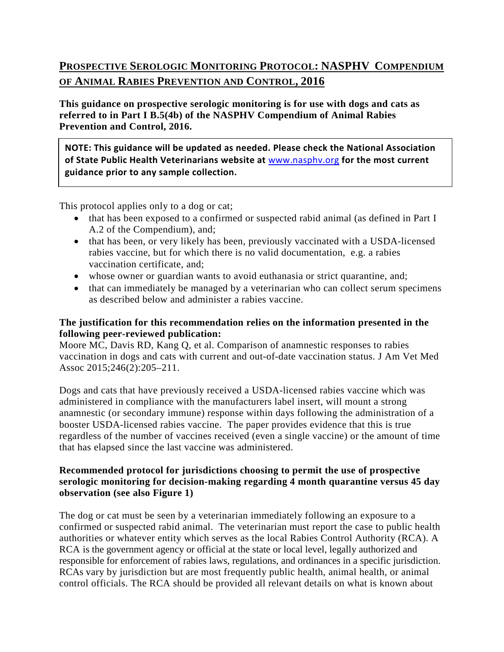# **PROSPECTIVE SEROLOGIC MONITORING PROTOCOL: NASPHV COMPENDIUM OF ANIMAL RABIES PREVENTION AND CONTROL, 2016**

**This guidance on prospective serologic monitoring is for use with dogs and cats as referred to in Part I B.5(4b) of the NASPHV Compendium of Animal Rabies Prevention and Control, 2016.**

**NOTE: This guidance will be updated as needed. Please check the National Association of State Public Health Veterinarians website at** [www.nasphv.org](http://www.nasphv.org/) **for the most current guidance prior to any sample collection.**

This protocol applies only to a dog or cat;

- that has been exposed to a confirmed or suspected rabid animal (as defined in Part I A.2 of the Compendium), and;
- that has been, or very likely has been, previously vaccinated with a USDA-licensed rabies vaccine, but for which there is no valid documentation, e.g. a rabies vaccination certificate, and;
- whose owner or guardian wants to avoid euthanasia or strict quarantine, and;
- that can immediately be managed by a veterinarian who can collect serum specimens as described below and administer a rabies vaccine.

#### **The justification for this recommendation relies on the information presented in the following peer-reviewed publication:**

Moore MC, Davis RD, Kang Q, et al. Comparison of anamnestic responses to rabies vaccination in dogs and cats with current and out-of-date vaccination status. J Am Vet Med Assoc 2015;246(2):205–211.

Dogs and cats that have previously received a USDA-licensed rabies vaccine which was administered in compliance with the manufacturers label insert, will mount a strong anamnestic (or secondary immune) response within days following the administration of a booster USDA-licensed rabies vaccine. The paper provides evidence that this is true regardless of the number of vaccines received (even a single vaccine) or the amount of time that has elapsed since the last vaccine was administered.

#### **Recommended protocol for jurisdictions choosing to permit the use of prospective serologic monitoring for decision-making regarding 4 month quarantine versus 45 day observation (see also Figure 1)**

The dog or cat must be seen by a veterinarian immediately following an exposure to a confirmed or suspected rabid animal. The veterinarian must report the case to public health authorities or whatever entity which serves as the local Rabies Control Authority (RCA). A RCA is the government agency or official at the state or local level, legally authorized and responsible for enforcement of rabies laws, regulations, and ordinances in a specific jurisdiction. RCAs vary by jurisdiction but are most frequently public health, animal health, or animal control officials. The RCA should be provided all relevant details on what is known about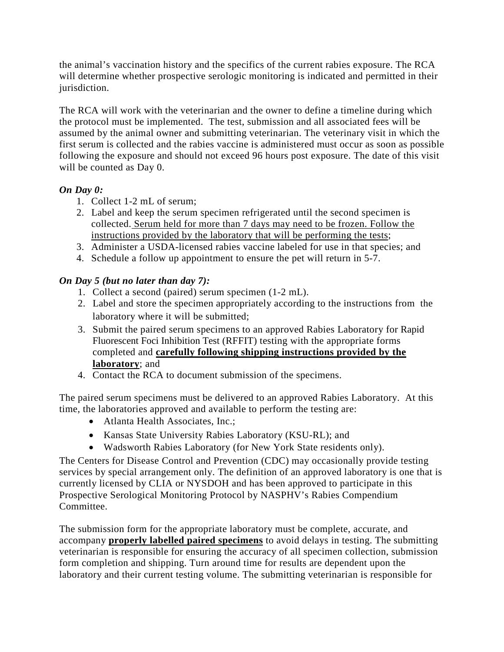the animal's vaccination history and the specifics of the current rabies exposure. The RCA will determine whether prospective serologic monitoring is indicated and permitted in their jurisdiction.

The RCA will work with the veterinarian and the owner to define a timeline during which the protocol must be implemented. The test, submission and all associated fees will be assumed by the animal owner and submitting veterinarian. The veterinary visit in which the first serum is collected and the rabies vaccine is administered must occur as soon as possible following the exposure and should not exceed 96 hours post exposure. The date of this visit will be counted as Day 0.

## *On Day 0:*

- 1. Collect 1-2 mL of serum;
- 2. Label and keep the serum specimen refrigerated until the second specimen is collected. Serum held for more than 7 days may need to be frozen. Follow the instructions provided by the laboratory that will be performing the tests;
- 3. Administer a USDA-licensed rabies vaccine labeled for use in that species; and
- 4. Schedule a follow up appointment to ensure the pet will return in 5-7.

### *On Day 5 (but no later than day 7):*

- 1. Collect a second (paired) serum specimen (1-2 mL).
- 2. Label and store the specimen appropriately according to the instructions from the laboratory where it will be submitted;
- 3. Submit the paired serum specimens to an approved Rabies Laboratory for Rapid Fluorescent Foci Inhibition Test (RFFIT) testing with the appropriate forms completed and **carefully following shipping instructions provided by the laboratory**; and
- 4. Contact the RCA to document submission of the specimens.

The paired serum specimens must be delivered to an approved Rabies Laboratory. At this time, the laboratories approved and available to perform the testing are:

- Atlanta Health Associates, Inc.;
- Kansas State University Rabies Laboratory (KSU-RL); and
- Wadsworth Rabies Laboratory (for New York State residents only).

The Centers for Disease Control and Prevention (CDC) may occasionally provide testing services by special arrangement only. The definition of an approved laboratory is one that is currently licensed by CLIA or NYSDOH and has been approved to participate in this Prospective Serological Monitoring Protocol by NASPHV's Rabies Compendium Committee.

The submission form for the appropriate laboratory must be complete, accurate, and accompany **properly labelled paired specimens** to avoid delays in testing. The submitting veterinarian is responsible for ensuring the accuracy of all specimen collection, submission form completion and shipping. Turn around time for results are dependent upon the laboratory and their current testing volume. The submitting veterinarian is responsible for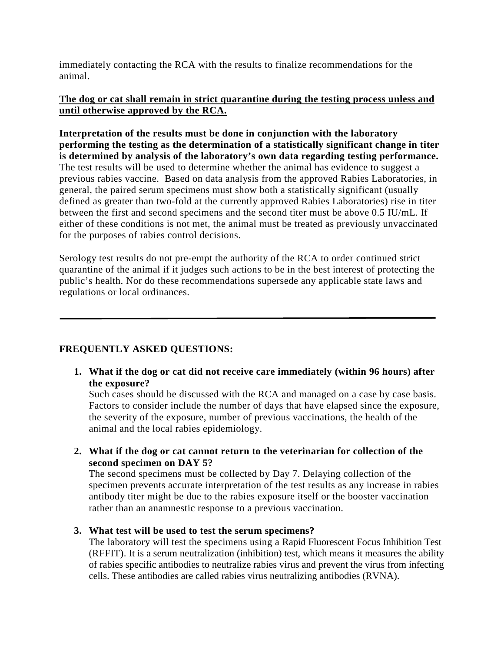immediately contacting the RCA with the results to finalize recommendations for the animal.

#### **The dog or cat shall remain in strict quarantine during the testing process unless and until otherwise approved by the RCA.**

**Interpretation of the results must be done in conjunction with the laboratory performing the testing as the determination of a statistically significant change in titer is determined by analysis of the laboratory's own data regarding testing performance.** The test results will be used to determine whether the animal has evidence to suggest a previous rabies vaccine. Based on data analysis from the approved Rabies Laboratories, in general, the paired serum specimens must show both a statistically significant (usually defined as greater than two-fold at the currently approved Rabies Laboratories) rise in titer between the first and second specimens and the second titer must be above 0.5 IU/mL. If either of these conditions is not met, the animal must be treated as previously unvaccinated for the purposes of rabies control decisions.

Serology test results do not pre-empt the authority of the RCA to order continued strict quarantine of the animal if it judges such actions to be in the best interest of protecting the public's health. Nor do these recommendations supersede any applicable state laws and regulations or local ordinances.

### **FREQUENTLY ASKED QUESTIONS:**

**1. What if the dog or cat did not receive care immediately (within 96 hours) after the exposure?**

Such cases should be discussed with the RCA and managed on a case by case basis. Factors to consider include the number of days that have elapsed since the exposure, the severity of the exposure, number of previous vaccinations, the health of the animal and the local rabies epidemiology.

**2. What if the dog or cat cannot return to the veterinarian for collection of the second specimen on DAY 5?** 

The second specimens must be collected by Day 7. Delaying collection of the specimen prevents accurate interpretation of the test results as any increase in rabies antibody titer might be due to the rabies exposure itself or the booster vaccination rather than an anamnestic response to a previous vaccination.

#### **3. What test will be used to test the serum specimens?**

The laboratory will test the specimens using a Rapid Fluorescent Focus Inhibition Test (RFFIT). It is a serum neutralization (inhibition) test, which means it measures the ability of rabies specific antibodies to neutralize rabies virus and prevent the virus from infecting cells. These antibodies are called rabies virus neutralizing antibodies (RVNA).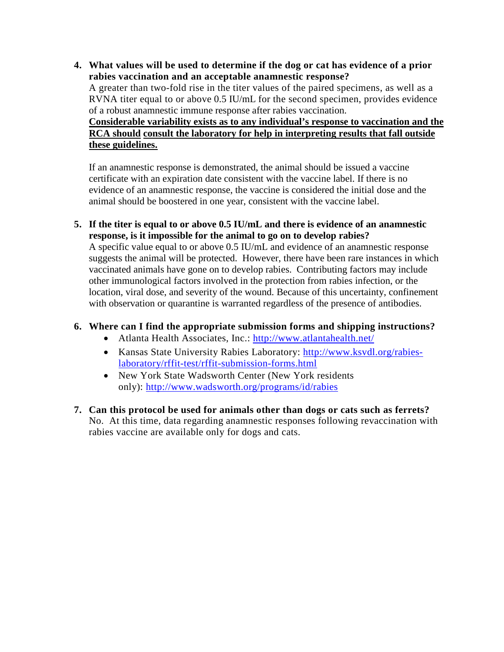**4. What values will be used to determine if the dog or cat has evidence of a prior rabies vaccination and an acceptable anamnestic response?** A greater than two-fold rise in the titer values of the paired specimens, as well as a RVNA titer equal to or above 0.5 IU/mL for the second specimen, provides evidence of a robust anamnestic immune response after rabies vaccination. **Considerable variability exists as to any individual's response to vaccination and the RCA should consult the laboratory for help in interpreting results that fall outside these guidelines.**

If an anamnestic response is demonstrated, the animal should be issued a vaccine certificate with an expiration date consistent with the vaccine label. If there is no evidence of an anamnestic response, the vaccine is considered the initial dose and the animal should be boostered in one year, consistent with the vaccine label.

**5. If the titer is equal to or above 0.5 IU/mL and there is evidence of an anamnestic response, is it impossible for the animal to go on to develop rabies?**

A specific value equal to or above 0.5 IU/mL and evidence of an anamnestic response suggests the animal will be protected. However, there have been rare instances in which vaccinated animals have gone on to develop rabies. Contributing factors may include other immunological factors involved in the protection from rabies infection, or the location, viral dose, and severity of the wound. Because of this uncertainty, confinement with observation or quarantine is warranted regardless of the presence of antibodies.

#### **6. Where can I find the appropriate submission forms and shipping instructions?**

- Atlanta Health Associates, Inc.:<http://www.atlantahealth.net/>
- Kansas State University Rabies Laboratory: [http://www.ksvdl.org/rabies](http://www.ksvdl.org/rabies-laboratory/rffit-test/rffit-submission-forms.html)[laboratory/rffit-test/rffit-submission-forms.html](http://www.ksvdl.org/rabies-laboratory/rffit-test/rffit-submission-forms.html)
- New York State Wadsworth Center (New York residents only):<http://www.wadsworth.org/programs/id/rabies>
- **7. Can this protocol be used for animals other than dogs or cats such as ferrets?** No. At this time, data regarding anamnestic responses following revaccination with rabies vaccine are available only for dogs and cats.